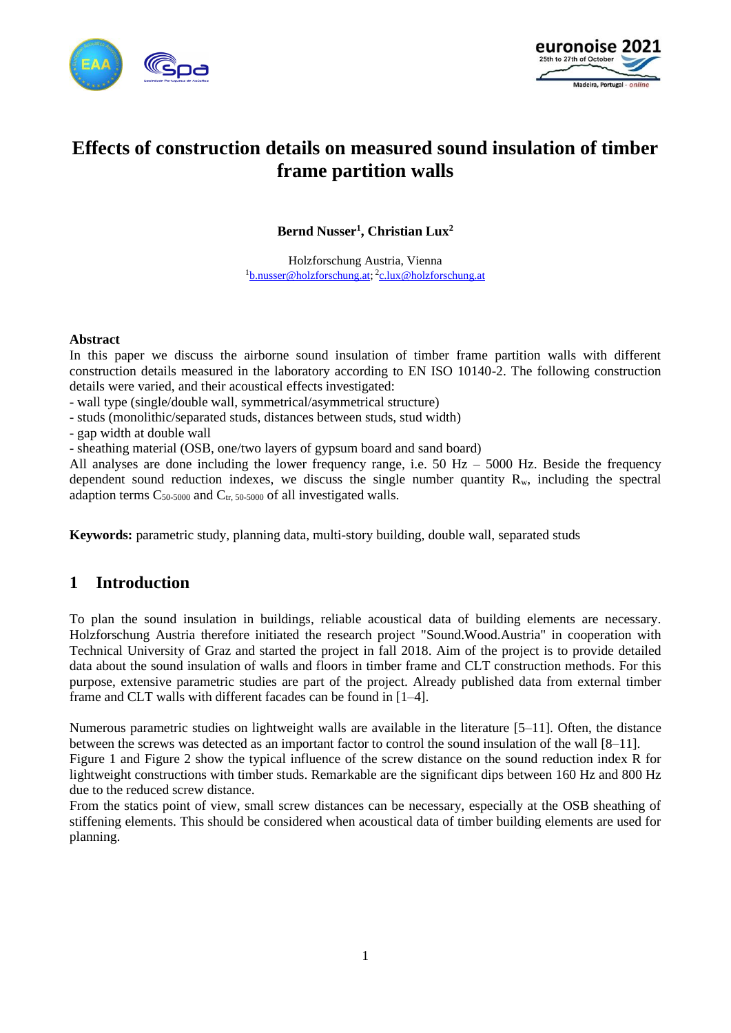



# **Effects of construction details on measured sound insulation of timber frame partition walls**

**Bernd Nusser<sup>1</sup> , Christian Lux<sup>2</sup>**

Holzforschung Austria, Vienna <sup>1</sup>[b.nusser@holzforschung.at;](mailto:b.nusser@holzforschung.at) <sup>2</sup>[c.lux@holzforschung.at](mailto:c.lux@holzforschung.at)

#### **Abstract**

In this paper we discuss the airborne sound insulation of timber frame partition walls with different construction details measured in the laboratory according to EN ISO 10140-2. The following construction details were varied, and their acoustical effects investigated:

- wall type (single/double wall, symmetrical/asymmetrical structure)
- studs (monolithic/separated studs, distances between studs, stud width)
- gap width at double wall

- sheathing material (OSB, one/two layers of gypsum board and sand board)

All analyses are done including the lower frequency range, i.e.  $50$  Hz –  $5000$  Hz. Beside the frequency dependent sound reduction indexes, we discuss the single number quantity  $R_w$ , including the spectral adaption terms  $C_{50-5000}$  and  $C_{tr}$  50-5000 of all investigated walls.

**Keywords:** parametric study, planning data, multi-story building, double wall, separated studs

## **1 Introduction**

To plan the sound insulation in buildings, reliable acoustical data of building elements are necessary. Holzforschung Austria therefore initiated the research project "Sound.Wood.Austria" in cooperation with Technical University of Graz and started the project in fall 2018. Aim of the project is to provide detailed data about the sound insulation of walls and floors in timber frame and CLT construction methods. For this purpose, extensive parametric studies are part of the project. Already published data from external timber frame and CLT walls with different facades can be found in [1–4].

Numerous parametric studies on lightweight walls are available in the literature [5–11]. Often, the distance between the screws was detected as an important factor to control the sound insulation of the wall [8–11].

[Figure 1](#page-1-0) and [Figure 2](#page-1-1) show the typical influence of the screw distance on the sound reduction index R for lightweight constructions with timber studs. Remarkable are the significant dips between 160 Hz and 800 Hz due to the reduced screw distance.

From the statics point of view, small screw distances can be necessary, especially at the OSB sheathing of stiffening elements. This should be considered when acoustical data of timber building elements are used for planning.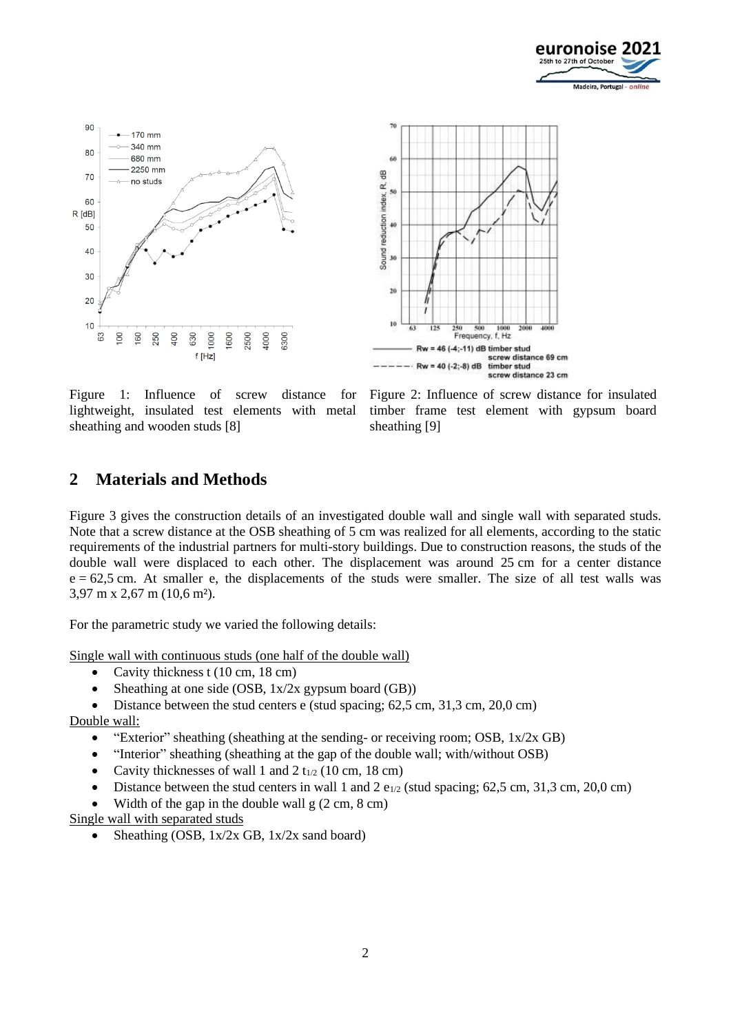





<span id="page-1-0"></span>Figure 1: Influence of screw distance for lightweight, insulated test elements with metal sheathing and wooden studs [8]

<span id="page-1-1"></span>Figure 2: Influence of screw distance for insulated timber frame test element with gypsum board sheathing [9]

### **2 Materials and Methods**

[Figure 3](#page-2-0) gives the construction details of an investigated double wall and single wall with separated studs. Note that a screw distance at the OSB sheathing of 5 cm was realized for all elements, according to the static requirements of the industrial partners for multi-story buildings. Due to construction reasons, the studs of the double wall were displaced to each other. The displacement was around 25 cm for a center distance  $e = 62.5$  cm. At smaller e, the displacements of the studs were smaller. The size of all test walls was 3,97 m x 2,67 m (10,6 m²).

For the parametric study we varied the following details:

Single wall with continuous studs (one half of the double wall)

- Cavity thickness t (10 cm, 18 cm)
- Sheathing at one side (OSB,  $1x/2x$  gypsum board (GB))
- Distance between the stud centers e (stud spacing;  $62,5$  cm,  $31,3$  cm,  $20,0$  cm) Double wall:
	- "Exterior" sheathing (sheathing at the sending- or receiving room; OSB, 1x/2x GB)
	- "Interior" sheathing (sheathing at the gap of the double wall; with/without OSB)
	- Cavity thicknesses of wall 1 and 2  $t_{1/2}$  (10 cm, 18 cm)
	- Distance between the stud centers in wall 1 and 2  $e_{1/2}$  (stud spacing; 62.5 cm, 31.3 cm, 20.0 cm)
	- Width of the gap in the double wall  $g(2 \text{ cm}, 8 \text{ cm})$

Single wall with separated studs

• Sheathing (OSB, 1x/2x GB, 1x/2x sand board)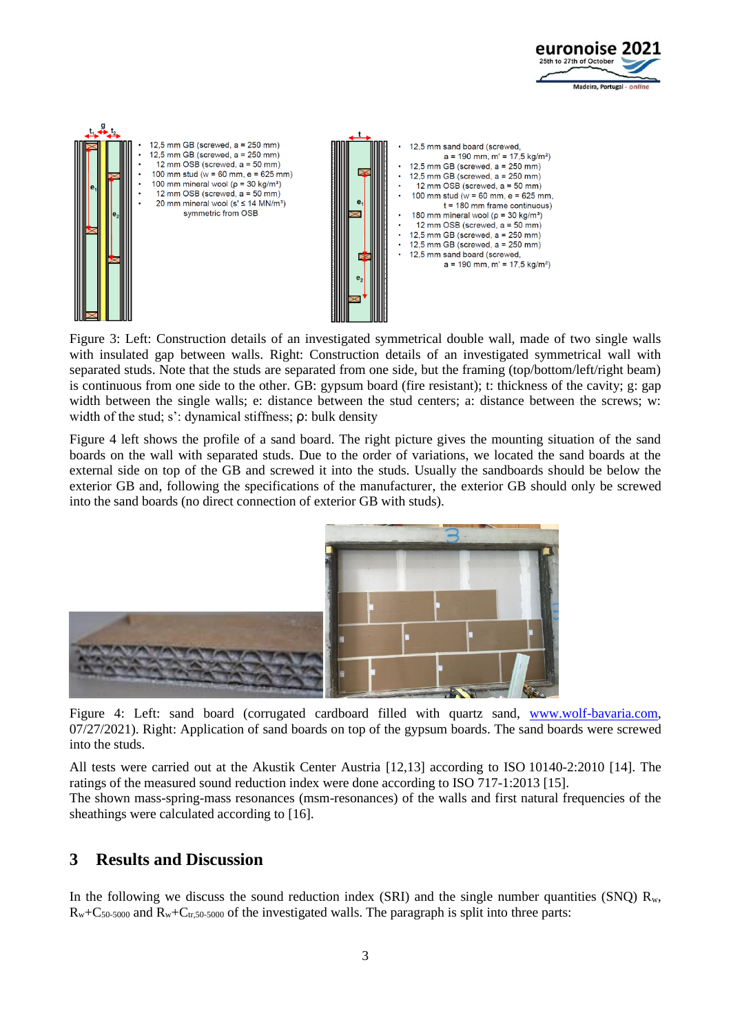



<span id="page-2-0"></span>Figure 3: Left: Construction details of an investigated symmetrical double wall, made of two single walls with insulated gap between walls. Right: Construction details of an investigated symmetrical wall with separated studs. Note that the studs are separated from one side, but the framing (top/bottom/left/right beam) is continuous from one side to the other. GB: gypsum board (fire resistant); t: thickness of the cavity; g: gap width between the single walls; e: distance between the stud centers; a: distance between the screws; w: width of the stud; s': dynamical stiffness; ρ: bulk density

[Figure 4](#page-2-1) left shows the profile of a sand board. The right picture gives the mounting situation of the sand boards on the wall with separated studs. Due to the order of variations, we located the sand boards at the external side on top of the GB and screwed it into the studs. Usually the sandboards should be below the exterior GB and, following the specifications of the manufacturer, the exterior GB should only be screwed into the sand boards (no direct connection of exterior GB with studs).



<span id="page-2-1"></span>Figure 4: Left: sand board (corrugated cardboard filled with quartz sand, [www.wolf-bavaria.com,](http://www.wolf-bavaria.com/) 07/27/2021). Right: Application of sand boards on top of the gypsum boards. The sand boards were screwed into the studs.

All tests were carried out at the Akustik Center Austria [12,13] according to ISO 10140-2:2010 [14]. The ratings of the measured sound reduction index were done according to ISO 717-1:2013 [15].

The shown mass-spring-mass resonances (msm-resonances) of the walls and first natural frequencies of the sheathings were calculated according to [16].

### **3 Results and Discussion**

In the following we discuss the sound reduction index (SRI) and the single number quantities (SNQ)  $R_w$ ,  $R_w+C_{50-5000}$  and  $R_w+C_{tr,50-5000}$  of the investigated walls. The paragraph is split into three parts: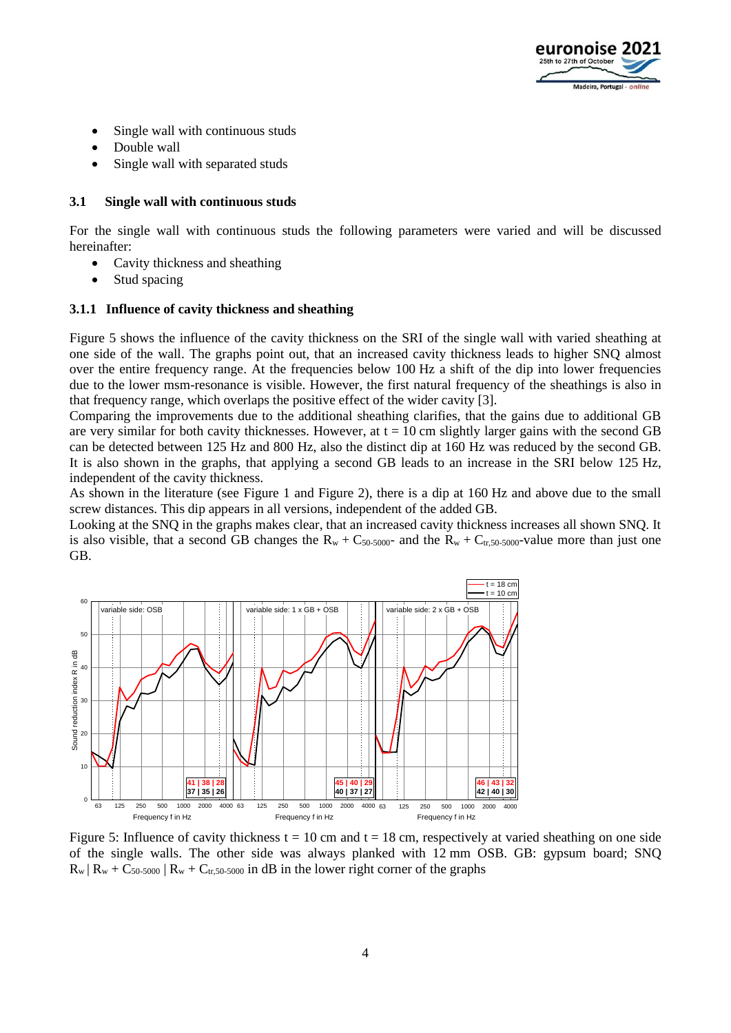

- Single wall with continuous studs
- Double wall
- Single wall with separated studs

#### **3.1 Single wall with continuous studs**

For the single wall with continuous studs the following parameters were varied and will be discussed hereinafter:

- Cavity thickness and sheathing
- Stud spacing

#### **3.1.1 Influence of cavity thickness and sheathing**

[Figure 5](#page-3-0) shows the influence of the cavity thickness on the SRI of the single wall with varied sheathing at one side of the wall. The graphs point out, that an increased cavity thickness leads to higher SNQ almost over the entire frequency range. At the frequencies below 100 Hz a shift of the dip into lower frequencies due to the lower msm-resonance is visible. However, the first natural frequency of the sheathings is also in that frequency range, which overlaps the positive effect of the wider cavity [3].

Comparing the improvements due to the additional sheathing clarifies, that the gains due to additional GB are very similar for both cavity thicknesses. However, at  $t = 10$  cm slightly larger gains with the second GB can be detected between 125 Hz and 800 Hz, also the distinct dip at 160 Hz was reduced by the second GB. It is also shown in the graphs, that applying a second GB leads to an increase in the SRI below 125 Hz, independent of the cavity thickness.

As shown in the literature (see [Figure 1](#page-1-0) and [Figure 2\)](#page-1-1), there is a dip at 160 Hz and above due to the small screw distances. This dip appears in all versions, independent of the added GB.

Looking at the SNQ in the graphs makes clear, that an increased cavity thickness increases all shown SNQ. It is also visible, that a second GB changes the  $R_w + C_{50-5000}$  and the  $R_w + C_{tr,50-5000}$ -value more than just one GB.



<span id="page-3-0"></span>Figure 5: Influence of cavity thickness  $t = 10$  cm and  $t = 18$  cm, respectively at varied sheathing on one side of the single walls. The other side was always planked with 12 mm OSB. GB: gypsum board; SNQ  $R_w | R_w + C_{50-5000} | R_w + C_{tr,50-5000}$  in dB in the lower right corner of the graphs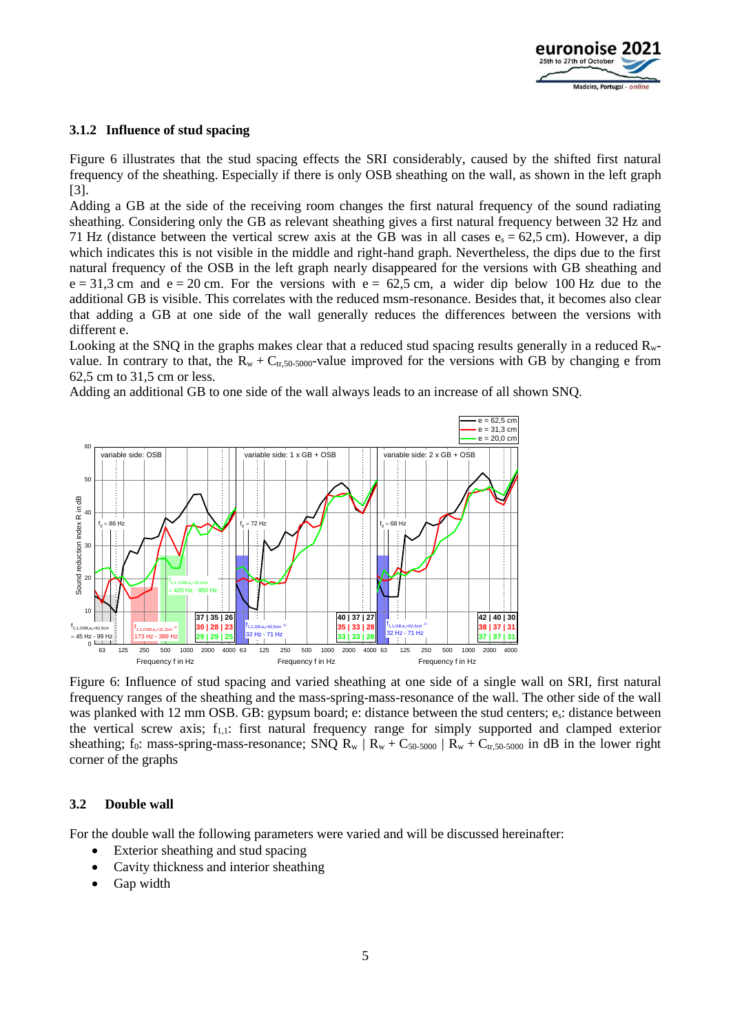

#### **3.1.2 Influence of stud spacing**

[Figure 6](#page-4-0) illustrates that the stud spacing effects the SRI considerably, caused by the shifted first natural frequency of the sheathing. Especially if there is only OSB sheathing on the wall, as shown in the left graph [3].

Adding a GB at the side of the receiving room changes the first natural frequency of the sound radiating sheathing. Considering only the GB as relevant sheathing gives a first natural frequency between 32 Hz and 71 Hz (distance between the vertical screw axis at the GB was in all cases  $e_s = 62.5$  cm). However, a dip which indicates this is not visible in the middle and right-hand graph. Nevertheless, the dips due to the first natural frequency of the OSB in the left graph nearly disappeared for the versions with GB sheathing and  $e = 31.3$  cm and  $e = 20$  cm. For the versions with  $e = 62.5$  cm, a wider dip below 100 Hz due to the additional GB is visible. This correlates with the reduced msm-resonance. Besides that, it becomes also clear that adding a GB at one side of the wall generally reduces the differences between the versions with different e.

Looking at the SNQ in the graphs makes clear that a reduced stud spacing results generally in a reduced Rwvalue. In contrary to that, the  $R_w + C_{tr,50-5000}$ -value improved for the versions with GB by changing e from 62,5 cm to 31,5 cm or less.

Adding an additional GB to one side of the wall always leads to an increase of all shown SNQ.



<span id="page-4-0"></span>Figure 6: Influence of stud spacing and varied sheathing at one side of a single wall on SRI, first natural frequency ranges of the sheathing and the mass-spring-mass-resonance of the wall. The other side of the wall was planked with 12 mm OSB. GB: gypsum board; e: distance between the stud centers; es: distance between the vertical screw axis;  $f_{1,1}$ : first natural frequency range for simply supported and clamped exterior sheathing; f<sub>0</sub>: mass-spring-mass-resonance; SNQ R<sub>w</sub> | R<sub>w</sub> + C<sub>50-5000</sub> | R<sub>w</sub> + C<sub>tr,50-5000</sub> in dB in the lower right corner of the graphs

#### **3.2 Double wall**

For the double wall the following parameters were varied and will be discussed hereinafter:

- Exterior sheathing and stud spacing
- Cavity thickness and interior sheathing
- Gap width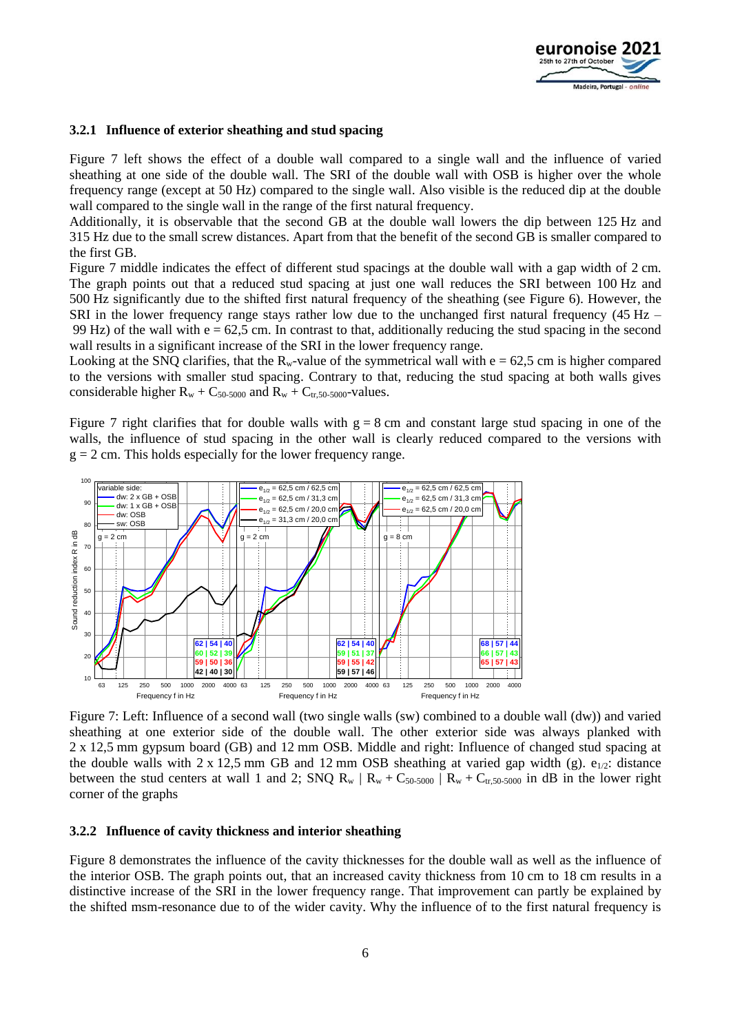

#### **3.2.1 Influence of exterior sheathing and stud spacing**

[Figure 7](#page-5-0) left shows the effect of a double wall compared to a single wall and the influence of varied sheathing at one side of the double wall. The SRI of the double wall with OSB is higher over the whole frequency range (except at 50 Hz) compared to the single wall. Also visible is the reduced dip at the double wall compared to the single wall in the range of the first natural frequency.

Additionally, it is observable that the second GB at the double wall lowers the dip between 125 Hz and 315 Hz due to the small screw distances. Apart from that the benefit of the second GB is smaller compared to the first GB.

[Figure 7](#page-5-0) middle indicates the effect of different stud spacings at the double wall with a gap width of 2 cm. The graph points out that a reduced stud spacing at just one wall reduces the SRI between 100 Hz and 500 Hz significantly due to the shifted first natural frequency of the sheathing (see [Figure 6\)](#page-4-0). However, the SRI in the lower frequency range stays rather low due to the unchanged first natural frequency (45 Hz – 99 Hz) of the wall with  $e = 62.5$  cm. In contrast to that, additionally reducing the stud spacing in the second wall results in a significant increase of the SRI in the lower frequency range.

Looking at the SNQ clarifies, that the  $R_w$ -value of the symmetrical wall with  $e = 62.5$  cm is higher compared to the versions with smaller stud spacing. Contrary to that, reducing the stud spacing at both walls gives considerable higher  $R_w + C_{50-5000}$  and  $R_w + C_{tr,50-5000}$ -values.

[Figure 7](#page-5-0) right clarifies that for double walls with  $g = 8$  cm and constant large stud spacing in one of the walls, the influence of stud spacing in the other wall is clearly reduced compared to the versions with  $g = 2$  cm. This holds especially for the lower frequency range.



<span id="page-5-0"></span>Figure 7: Left: Influence of a second wall (two single walls (sw) combined to a double wall (dw)) and varied sheathing at one exterior side of the double wall. The other exterior side was always planked with 2 x 12,5 mm gypsum board (GB) and 12 mm OSB. Middle and right: Influence of changed stud spacing at the double walls with 2 x 12,5 mm GB and 12 mm OSB sheathing at varied gap width (g).  $e_{1/2}$ : distance between the stud centers at wall 1 and 2; SNQ R<sub>w</sub> | R<sub>w</sub> + C<sub>50-5000</sub> | R<sub>w</sub> + C<sub>tr,50-5000</sub> in dB in the lower right corner of the graphs

#### **3.2.2 Influence of cavity thickness and interior sheathing**

[Figure 8](#page-6-0) demonstrates the influence of the cavity thicknesses for the double wall as well as the influence of the interior OSB. The graph points out, that an increased cavity thickness from 10 cm to 18 cm results in a distinctive increase of the SRI in the lower frequency range. That improvement can partly be explained by the shifted msm-resonance due to of the wider cavity. Why the influence of to the first natural frequency is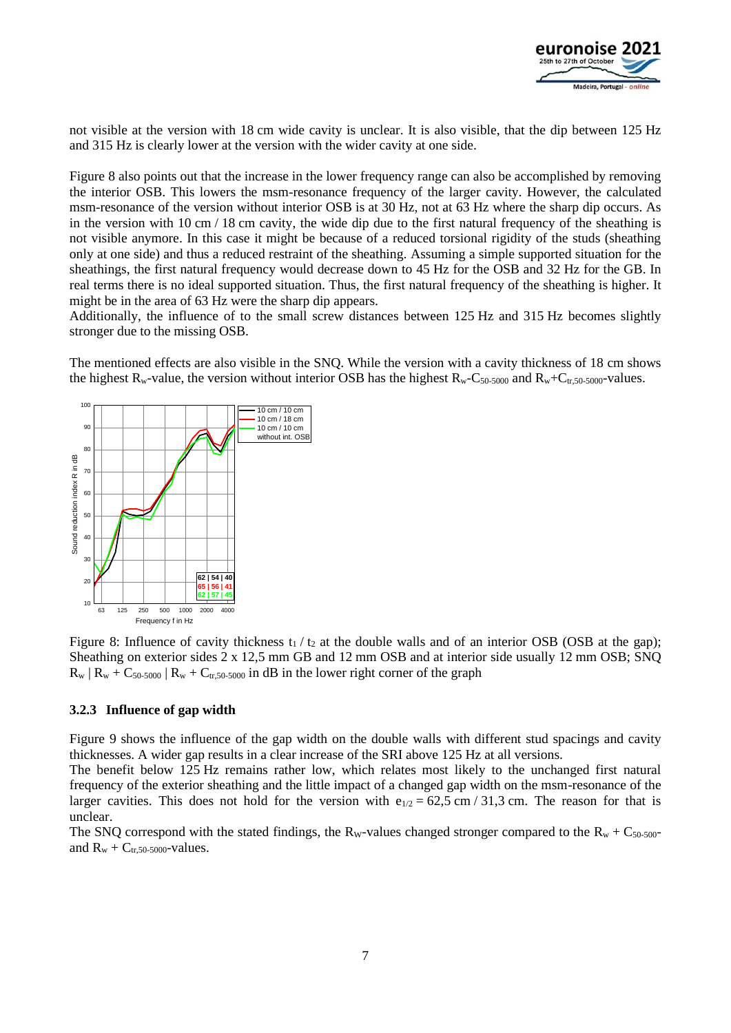

not visible at the version with 18 cm wide cavity is unclear. It is also visible, that the dip between 125 Hz and 315 Hz is clearly lower at the version with the wider cavity at one side.

[Figure 8](#page-6-0) also points out that the increase in the lower frequency range can also be accomplished by removing the interior OSB. This lowers the msm-resonance frequency of the larger cavity. However, the calculated msm-resonance of the version without interior OSB is at 30 Hz, not at 63 Hz where the sharp dip occurs. As in the version with 10 cm / 18 cm cavity, the wide dip due to the first natural frequency of the sheathing is not visible anymore. In this case it might be because of a reduced torsional rigidity of the studs (sheathing only at one side) and thus a reduced restraint of the sheathing. Assuming a simple supported situation for the sheathings, the first natural frequency would decrease down to 45 Hz for the OSB and 32 Hz for the GB. In real terms there is no ideal supported situation. Thus, the first natural frequency of the sheathing is higher. It might be in the area of 63 Hz were the sharp dip appears.

Additionally, the influence of to the small screw distances between 125 Hz and 315 Hz becomes slightly stronger due to the missing OSB.

The mentioned effects are also visible in the SNQ. While the version with a cavity thickness of 18 cm shows the highest  $R_w$ -value, the version without interior OSB has the highest  $R_w$ -C<sub>50-5000</sub> and  $R_w$ +C<sub>tr,50-5000</sub>-values.



<span id="page-6-0"></span>Figure 8: Influence of cavity thickness  $t_1 / t_2$  at the double walls and of an interior OSB (OSB at the gap); Sheathing on exterior sides 2 x 12,5 mm GB and 12 mm OSB and at interior side usually 12 mm OSB; SNQ  $R_w$  |  $R_w$  +  $C_{50-5000}$  |  $R_w$  +  $C_{tr,50-5000}$  in dB in the lower right corner of the graph

#### **3.2.3 Influence of gap width**

[Figure 9](#page-7-0) shows the influence of the gap width on the double walls with different stud spacings and cavity thicknesses. A wider gap results in a clear increase of the SRI above 125 Hz at all versions.

The benefit below 125 Hz remains rather low, which relates most likely to the unchanged first natural frequency of the exterior sheathing and the little impact of a changed gap width on the msm-resonance of the larger cavities. This does not hold for the version with  $e_{1/2} = 62.5$  cm / 31,3 cm. The reason for that is unclear.

The SNQ correspond with the stated findings, the R<sub>W</sub>-values changed stronger compared to the R<sub>w</sub> + C<sub>50-500</sub>and  $R_w + C_{tr,50-5000}$ -values.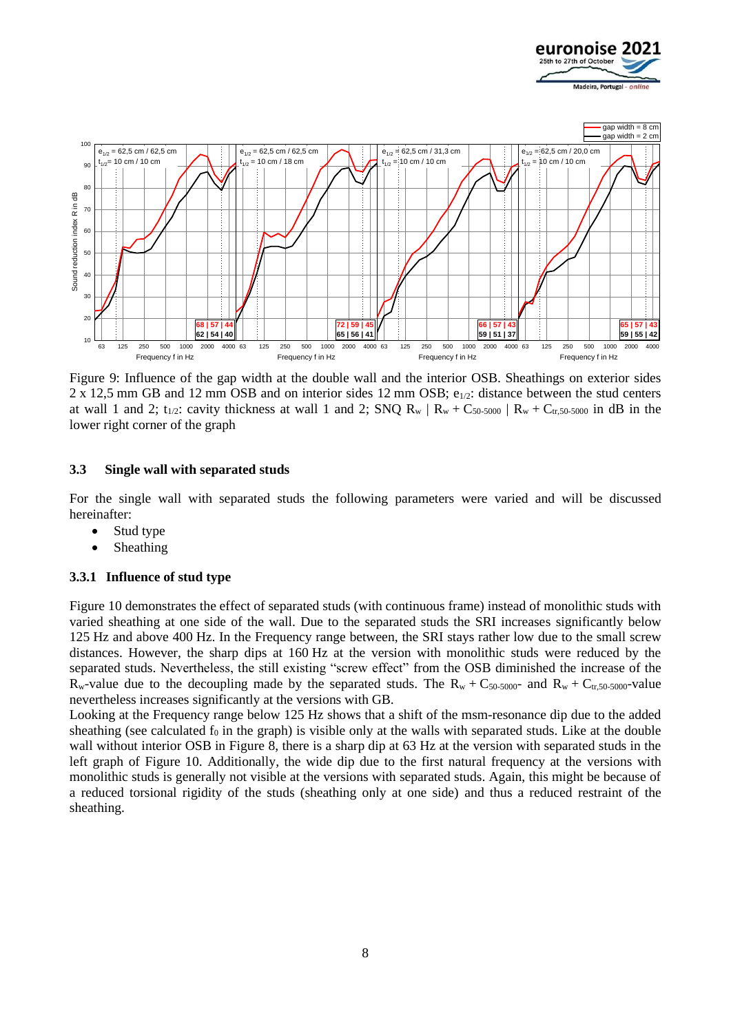



<span id="page-7-0"></span>Figure 9: Influence of the gap width at the double wall and the interior OSB. Sheathings on exterior sides 2 x 12,5 mm GB and 12 mm OSB and on interior sides 12 mm OSB;  $e_{1/2}$ : distance between the stud centers at wall 1 and 2;  $t_{1/2}$ : cavity thickness at wall 1 and 2; SNQ R<sub>w</sub> | R<sub>w</sub> + C<sub>50-5000</sub> | R<sub>w</sub> + C<sub>tr</sub>,50-5000 in dB in the lower right corner of the graph

#### **3.3 Single wall with separated studs**

For the single wall with separated studs the following parameters were varied and will be discussed hereinafter:

- Stud type
- Sheathing

#### **3.3.1 Influence of stud type**

[Figure 10](#page-8-0) demonstrates the effect of separated studs (with continuous frame) instead of monolithic studs with varied sheathing at one side of the wall. Due to the separated studs the SRI increases significantly below 125 Hz and above 400 Hz. In the Frequency range between, the SRI stays rather low due to the small screw distances. However, the sharp dips at 160 Hz at the version with monolithic studs were reduced by the separated studs. Nevertheless, the still existing "screw effect" from the OSB diminished the increase of the  $R_w$ -value due to the decoupling made by the separated studs. The  $R_w + C_{50-5000}$ - and  $R_w + C_{tr,50-5000}$ -value nevertheless increases significantly at the versions with GB.

Looking at the Frequency range below 125 Hz shows that a shift of the msm-resonance dip due to the added sheathing (see calculated  $f_0$  in the graph) is visible only at the walls with separated studs. Like at the double wall without interior OSB in [Figure 8,](#page-6-0) there is a sharp dip at 63 Hz at the version with separated studs in the left graph of [Figure 10.](#page-8-0) Additionally, the wide dip due to the first natural frequency at the versions with monolithic studs is generally not visible at the versions with separated studs. Again, this might be because of a reduced torsional rigidity of the studs (sheathing only at one side) and thus a reduced restraint of the sheathing.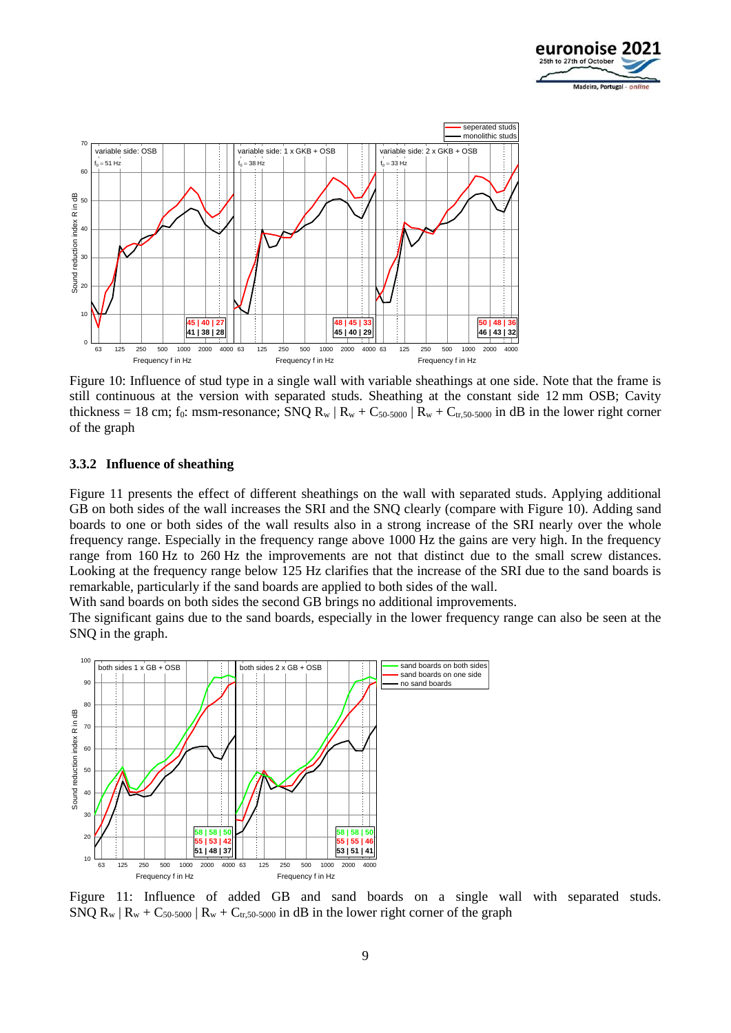



<span id="page-8-0"></span>Figure 10: Influence of stud type in a single wall with variable sheathings at one side. Note that the frame is still continuous at the version with separated studs. Sheathing at the constant side 12 mm OSB; Cavity thickness = 18 cm; f<sub>0</sub>: msm-resonance; SNQ R<sub>w</sub> | R<sub>w</sub> + C<sub>50-5000</sub> | R<sub>w</sub> + C<sub>tr,50-5000</sub> in dB in the lower right corner of the graph

#### **3.3.2 Influence of sheathing**

[Figure 11](#page-8-1) presents the effect of different sheathings on the wall with separated studs. Applying additional GB on both sides of the wall increases the SRI and the SNQ clearly (compare with [Figure 10\)](#page-8-0). Adding sand boards to one or both sides of the wall results also in a strong increase of the SRI nearly over the whole frequency range. Especially in the frequency range above 1000 Hz the gains are very high. In the frequency range from 160 Hz to 260 Hz the improvements are not that distinct due to the small screw distances. Looking at the frequency range below 125 Hz clarifies that the increase of the SRI due to the sand boards is remarkable, particularly if the sand boards are applied to both sides of the wall.

With sand boards on both sides the second GB brings no additional improvements.

The significant gains due to the sand boards, especially in the lower frequency range can also be seen at the SNQ in the graph.



<span id="page-8-1"></span>Figure 11: Influence of added GB and sand boards on a single wall with separated studs. SNQ R<sub>w</sub>  $|R_w + C_{50-5000}| R_w + C_{tr,50-5000}$  in dB in the lower right corner of the graph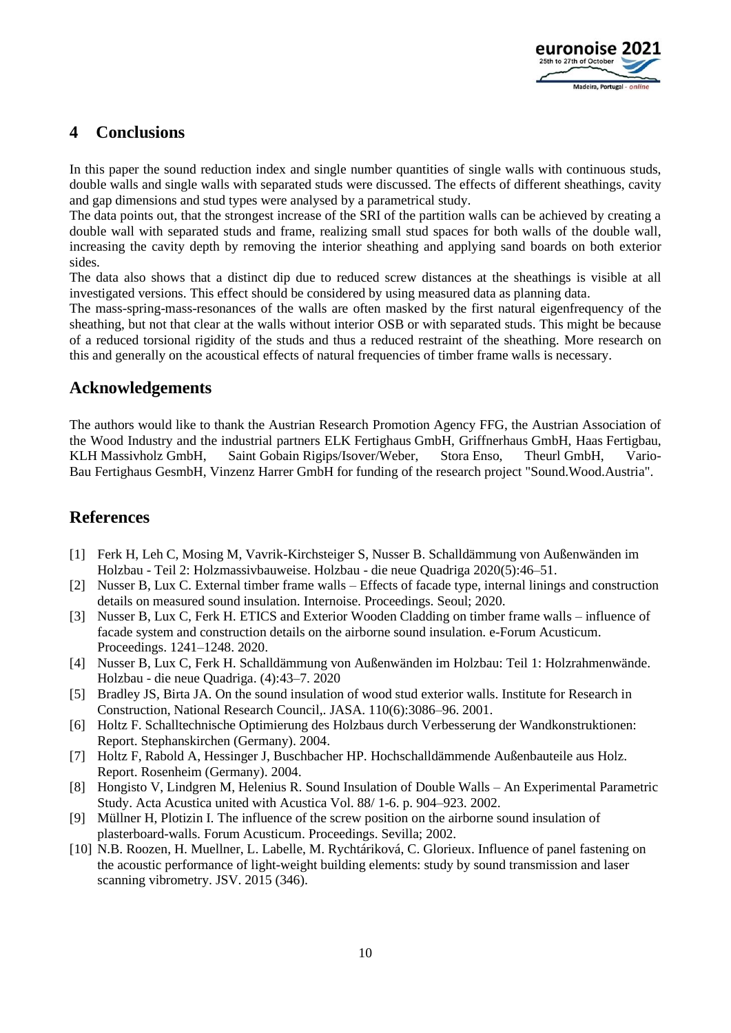

# **4 Conclusions**

In this paper the sound reduction index and single number quantities of single walls with continuous studs, double walls and single walls with separated studs were discussed. The effects of different sheathings, cavity and gap dimensions and stud types were analysed by a parametrical study.

The data points out, that the strongest increase of the SRI of the partition walls can be achieved by creating a double wall with separated studs and frame, realizing small stud spaces for both walls of the double wall, increasing the cavity depth by removing the interior sheathing and applying sand boards on both exterior sides.

The data also shows that a distinct dip due to reduced screw distances at the sheathings is visible at all investigated versions. This effect should be considered by using measured data as planning data.

The mass-spring-mass-resonances of the walls are often masked by the first natural eigenfrequency of the sheathing, but not that clear at the walls without interior OSB or with separated studs. This might be because of a reduced torsional rigidity of the studs and thus a reduced restraint of the sheathing. More research on this and generally on the acoustical effects of natural frequencies of timber frame walls is necessary.

### **Acknowledgements**

The authors would like to thank the Austrian Research Promotion Agency FFG, the Austrian Association of the Wood Industry and the industrial partners ELK Fertighaus GmbH, Griffnerhaus GmbH, Haas Fertigbau, KLH Massivholz GmbH, Saint Gobain Rigips/Isover/Weber, Stora Enso, Theurl GmbH, Vario-Bau Fertighaus GesmbH, Vinzenz Harrer GmbH for funding of the research project "Sound.Wood.Austria".

# **References**

- [1] Ferk H, Leh C, Mosing M, Vavrik-Kirchsteiger S, Nusser B. Schalldämmung von Außenwänden im Holzbau - Teil 2: Holzmassivbauweise. Holzbau - die neue Quadriga 2020(5):46–51.
- [2] Nusser B, Lux C. External timber frame walls Effects of facade type, internal linings and construction details on measured sound insulation. Internoise. Proceedings. Seoul; 2020.
- [3] Nusser B, Lux C, Ferk H. ETICS and Exterior Wooden Cladding on timber frame walls influence of facade system and construction details on the airborne sound insulation. e-Forum Acusticum. Proceedings. 1241–1248. 2020.
- [4] Nusser B, Lux C, Ferk H. Schalldämmung von Außenwänden im Holzbau: Teil 1: Holzrahmenwände. Holzbau - die neue Quadriga. (4):43–7. 2020
- [5] Bradley JS, Birta JA. On the sound insulation of wood stud exterior walls. Institute for Research in Construction, National Research Council,. JASA. 110(6):3086–96. 2001.
- [6] Holtz F. Schalltechnische Optimierung des Holzbaus durch Verbesserung der Wandkonstruktionen: Report. Stephanskirchen (Germany). 2004.
- [7] Holtz F, Rabold A, Hessinger J, Buschbacher HP. Hochschalldämmende Außenbauteile aus Holz. Report. Rosenheim (Germany). 2004.
- [8] Hongisto V, Lindgren M, Helenius R. Sound Insulation of Double Walls An Experimental Parametric Study. Acta Acustica united with Acustica Vol. 88/ 1-6. p. 904–923. 2002.
- [9] Müllner H, Plotizin I. The influence of the screw position on the airborne sound insulation of plasterboard-walls. Forum Acusticum. Proceedings. Sevilla; 2002.
- [10] N.B. Roozen, H. Muellner, L. Labelle, M. Rychtáriková, C. Glorieux. Influence of panel fastening on the acoustic performance of light-weight building elements: study by sound transmission and laser scanning vibrometry. JSV. 2015 (346).